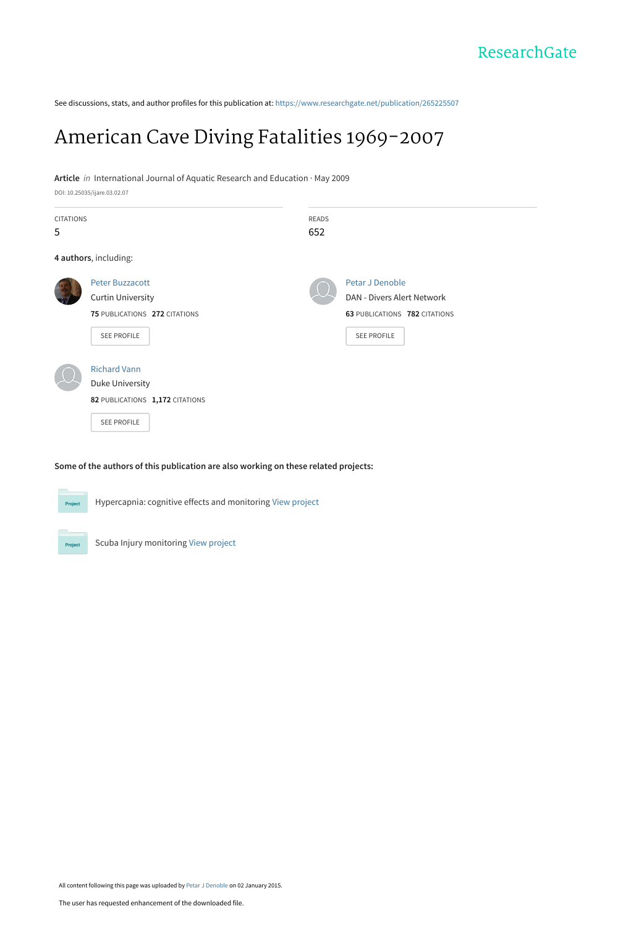See discussions, stats, and author profiles for this publication at: [https://www.researchgate.net/publication/265225507](https://www.researchgate.net/publication/265225507_American_Cave_Diving_Fatalities_1969-2007?enrichId=rgreq-4a31051d8c2aa515263bc4d74e7c3842-XXX&enrichSource=Y292ZXJQYWdlOzI2NTIyNTUwNztBUzoxODExODUzOTMyMDkzNDRAMTQyMDIwOTM3MjE1OQ%3D%3D&el=1_x_2&_esc=publicationCoverPdf)

# [American Cave Diving Fatalities 1969-2007](https://www.researchgate.net/publication/265225507_American_Cave_Diving_Fatalities_1969-2007?enrichId=rgreq-4a31051d8c2aa515263bc4d74e7c3842-XXX&enrichSource=Y292ZXJQYWdlOzI2NTIyNTUwNztBUzoxODExODUzOTMyMDkzNDRAMTQyMDIwOTM3MjE1OQ%3D%3D&el=1_x_3&_esc=publicationCoverPdf)

#### **Article** in International Journal of Aquatic Research and Education · May 2009

|                  | DOI: 10.25035/ijare.03.02.07    |              |                               |
|------------------|---------------------------------|--------------|-------------------------------|
| <b>CITATIONS</b> |                                 | <b>READS</b> |                               |
| 5                |                                 | 652          |                               |
|                  | 4 authors, including:           |              |                               |
|                  | <b>Peter Buzzacott</b>          |              | Petar J Denoble               |
|                  | <b>Curtin University</b>        |              | DAN - Divers Alert Network    |
|                  | 75 PUBLICATIONS 272 CITATIONS   |              | 63 PUBLICATIONS 782 CITATIONS |
|                  | SEE PROFILE                     |              | SEE PROFILE                   |
|                  | <b>Richard Vann</b>             |              |                               |
|                  | Duke University                 |              |                               |
|                  | 82 PUBLICATIONS 1,172 CITATIONS |              |                               |
|                  | <b>SEE PROFILE</b>              |              |                               |

#### **Some of the authors of this publication are also working on these related projects:**

Hypercapnia: cognitive effects and monitoring [View project](https://www.researchgate.net/project/Hypercapnia-cognitive-effects-and-monitoring?enrichId=rgreq-4a31051d8c2aa515263bc4d74e7c3842-XXX&enrichSource=Y292ZXJQYWdlOzI2NTIyNTUwNztBUzoxODExODUzOTMyMDkzNDRAMTQyMDIwOTM3MjE1OQ%3D%3D&el=1_x_9&_esc=publicationCoverPdf)



Scuba Injury monitoring [View project](https://www.researchgate.net/project/Scuba-Injury-monitoring?enrichId=rgreq-4a31051d8c2aa515263bc4d74e7c3842-XXX&enrichSource=Y292ZXJQYWdlOzI2NTIyNTUwNztBUzoxODExODUzOTMyMDkzNDRAMTQyMDIwOTM3MjE1OQ%3D%3D&el=1_x_9&_esc=publicationCoverPdf)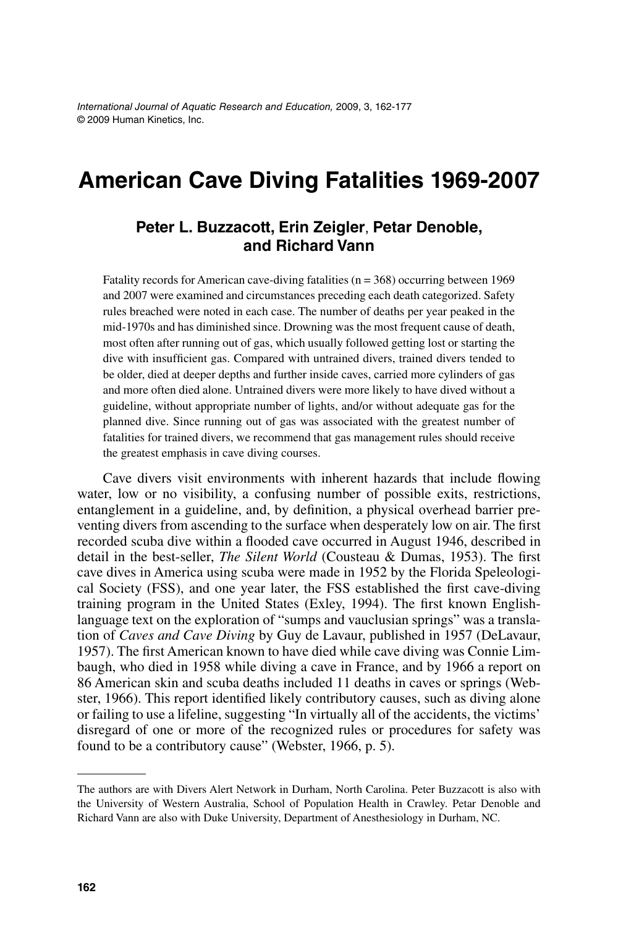*International Journal of Aquatic Research and Education,* 2009, 3, 162-177 © 2009 Human Kinetics, Inc.

# **American Cave Diving Fatalities 1969-2007**

#### **Peter L. Buzzacott, Erin Zeigler**, **Petar Denoble, and Richard Vann**

Fatality records for American cave-diving fatalities ( $n = 368$ ) occurring between 1969 and 2007 were examined and circumstances preceding each death categorized. Safety rules breached were noted in each case. The number of deaths per year peaked in the mid-1970s and has diminished since. Drowning was the most frequent cause of death, most often after running out of gas, which usually followed getting lost or starting the dive with insufficient gas. Compared with untrained divers, trained divers tended to be older, died at deeper depths and further inside caves, carried more cylinders of gas and more often died alone. Untrained divers were more likely to have dived without a guideline, without appropriate number of lights, and/or without adequate gas for the planned dive. Since running out of gas was associated with the greatest number of fatalities for trained divers, we recommend that gas management rules should receive the greatest emphasis in cave diving courses.

Cave divers visit environments with inherent hazards that include flowing water, low or no visibility, a confusing number of possible exits, restrictions, entanglement in a guideline, and, by definition, a physical overhead barrier preventing divers from ascending to the surface when desperately low on air. The first recorded scuba dive within a flooded cave occurred in August 1946, described in detail in the best-seller, *The Silent World* (Cousteau & Dumas, 1953). The first cave dives in America using scuba were made in 1952 by the Florida Speleological Society (FSS), and one year later, the FSS established the first cave-diving training program in the United States (Exley, 1994). The first known Englishlanguage text on the exploration of "sumps and vauclusian springs" was a translation of *Caves and Cave Diving* by Guy de Lavaur, published in 1957 (DeLavaur, 1957). The first American known to have died while cave diving was Connie Limbaugh, who died in 1958 while diving a cave in France, and by 1966 a report on 86 American skin and scuba deaths included 11 deaths in caves or springs (Webster, 1966). This report identified likely contributory causes, such as diving alone or failing to use a lifeline, suggesting "In virtually all of the accidents, the victims' disregard of one or more of the recognized rules or procedures for safety was found to be a contributory cause" (Webster, 1966, p. 5).

The authors are with Divers Alert Network in Durham, North Carolina. Peter Buzzacott is also with the University of Western Australia, School of Population Health in Crawley. Petar Denoble and Richard Vann are also with Duke University, Department of Anesthesiology in Durham, NC.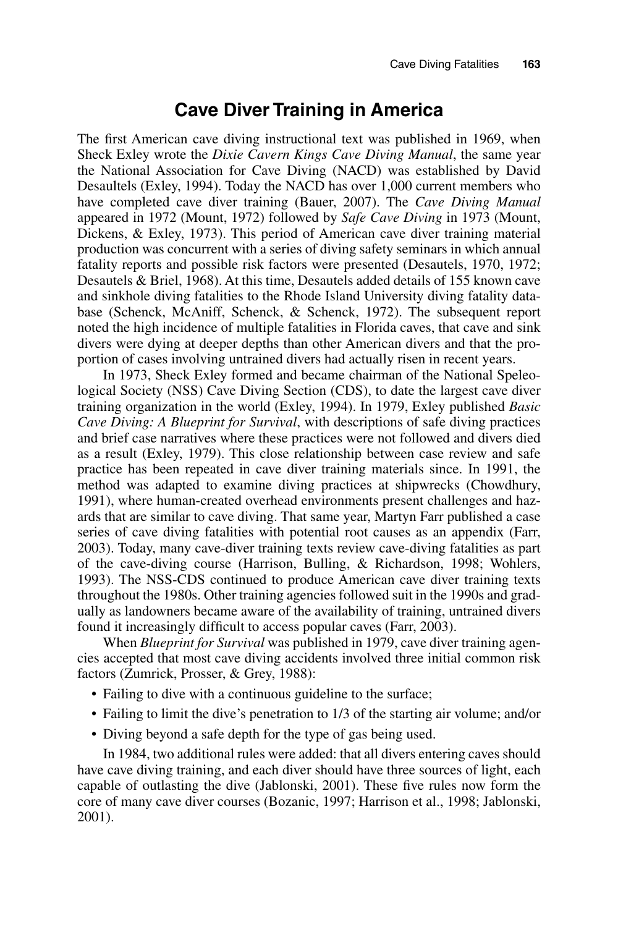## **Cave Diver Training in America**

The first American cave diving instructional text was published in 1969, when Sheck Exley wrote the *Dixie Cavern Kings Cave Diving Manual*, the same year the National Association for Cave Diving (NACD) was established by David Desaultels (Exley, 1994). Today the NACD has over 1,000 current members who have completed cave diver training (Bauer, 2007). The *Cave Diving Manual* appeared in 1972 (Mount, 1972) followed by *Safe Cave Diving* in 1973 (Mount, Dickens, & Exley, 1973). This period of American cave diver training material production was concurrent with a series of diving safety seminars in which annual fatality reports and possible risk factors were presented (Desautels, 1970, 1972; Desautels & Briel, 1968). At this time, Desautels added details of 155 known cave and sinkhole diving fatalities to the Rhode Island University diving fatality database (Schenck, McAniff, Schenck, & Schenck, 1972). The subsequent report noted the high incidence of multiple fatalities in Florida caves, that cave and sink divers were dying at deeper depths than other American divers and that the proportion of cases involving untrained divers had actually risen in recent years.

In 1973, Sheck Exley formed and became chairman of the National Speleological Society (NSS) Cave Diving Section (CDS), to date the largest cave diver training organization in the world (Exley, 1994). In 1979, Exley published *Basic Cave Diving: A Blueprint for Survival*, with descriptions of safe diving practices and brief case narratives where these practices were not followed and divers died as a result (Exley, 1979). This close relationship between case review and safe practice has been repeated in cave diver training materials since. In 1991, the method was adapted to examine diving practices at shipwrecks (Chowdhury, 1991), where human-created overhead environments present challenges and hazards that are similar to cave diving. That same year, Martyn Farr published a case series of cave diving fatalities with potential root causes as an appendix (Farr, 2003). Today, many cave-diver training texts review cave-diving fatalities as part of the cave-diving course (Harrison, Bulling, & Richardson, 1998; Wohlers, 1993). The NSS-CDS continued to produce American cave diver training texts throughout the 1980s. Other training agencies followed suit in the 1990s and gradually as landowners became aware of the availability of training, untrained divers found it increasingly difficult to access popular caves (Farr, 2003).

When *Blueprint for Survival* was published in 1979, cave diver training agencies accepted that most cave diving accidents involved three initial common risk factors (Zumrick, Prosser, & Grey, 1988):

- Failing to dive with a continuous guideline to the surface;
- Failing to limit the dive's penetration to 1/3 of the starting air volume; and/or
- Diving beyond a safe depth for the type of gas being used.

In 1984, two additional rules were added: that all divers entering caves should have cave diving training, and each diver should have three sources of light, each capable of outlasting the dive (Jablonski, 2001). These five rules now form the core of many cave diver courses (Bozanic, 1997; Harrison et al., 1998; Jablonski, 2001).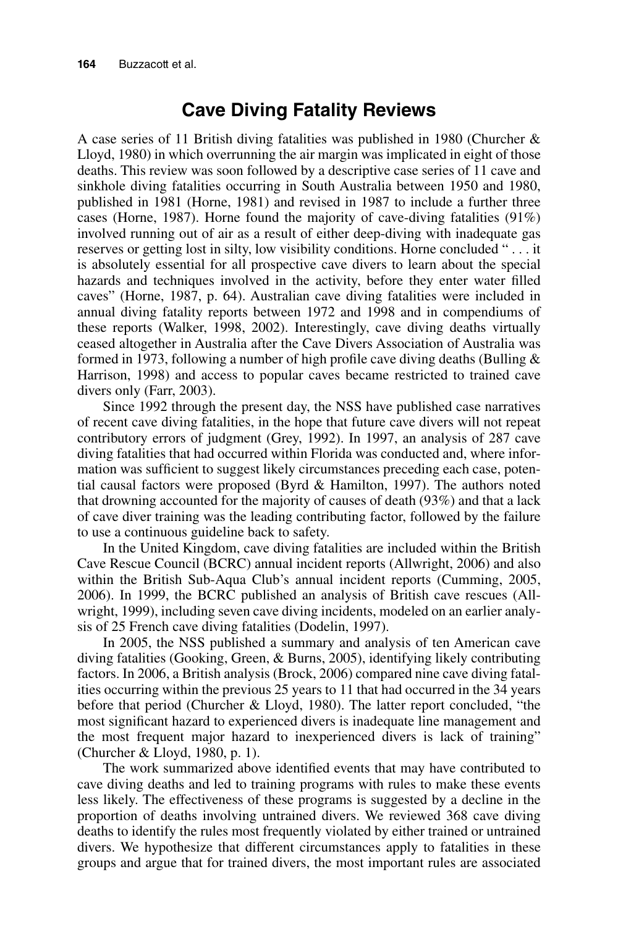## **Cave Diving Fatality Reviews**

A case series of 11 British diving fatalities was published in 1980 (Churcher & Lloyd, 1980) in which overrunning the air margin was implicated in eight of those deaths. This review was soon followed by a descriptive case series of 11 cave and sinkhole diving fatalities occurring in South Australia between 1950 and 1980, published in 1981 (Horne, 1981) and revised in 1987 to include a further three cases (Horne, 1987). Horne found the majority of cave-diving fatalities (91%) involved running out of air as a result of either deep-diving with inadequate gas reserves or getting lost in silty, low visibility conditions. Horne concluded " . . . it is absolutely essential for all prospective cave divers to learn about the special hazards and techniques involved in the activity, before they enter water filled caves" (Horne, 1987, p. 64). Australian cave diving fatalities were included in annual diving fatality reports between 1972 and 1998 and in compendiums of these reports (Walker, 1998, 2002). Interestingly, cave diving deaths virtually ceased altogether in Australia after the Cave Divers Association of Australia was formed in 1973, following a number of high profile cave diving deaths (Bulling  $\&$ Harrison, 1998) and access to popular caves became restricted to trained cave divers only (Farr, 2003).

Since 1992 through the present day, the NSS have published case narratives of recent cave diving fatalities, in the hope that future cave divers will not repeat contributory errors of judgment (Grey, 1992). In 1997, an analysis of 287 cave diving fatalities that had occurred within Florida was conducted and, where information was sufficient to suggest likely circumstances preceding each case, potential causal factors were proposed (Byrd & Hamilton, 1997). The authors noted that drowning accounted for the majority of causes of death (93%) and that a lack of cave diver training was the leading contributing factor, followed by the failure to use a continuous guideline back to safety.

In the United Kingdom, cave diving fatalities are included within the British Cave Rescue Council (BCRC) annual incident reports (Allwright, 2006) and also within the British Sub-Aqua Club's annual incident reports (Cumming, 2005, 2006). In 1999, the BCRC published an analysis of British cave rescues (Allwright, 1999), including seven cave diving incidents, modeled on an earlier analysis of 25 French cave diving fatalities (Dodelin, 1997).

In 2005, the NSS published a summary and analysis of ten American cave diving fatalities (Gooking, Green, & Burns, 2005), identifying likely contributing factors. In 2006, a British analysis (Brock, 2006) compared nine cave diving fatalities occurring within the previous 25 years to 11 that had occurred in the 34 years before that period (Churcher & Lloyd, 1980). The latter report concluded, "the most significant hazard to experienced divers is inadequate line management and the most frequent major hazard to inexperienced divers is lack of training" (Churcher & Lloyd, 1980, p. 1).

The work summarized above identified events that may have contributed to cave diving deaths and led to training programs with rules to make these events less likely. The effectiveness of these programs is suggested by a decline in the proportion of deaths involving untrained divers. We reviewed 368 cave diving deaths to identify the rules most frequently violated by either trained or untrained divers. We hypothesize that different circumstances apply to fatalities in these groups and argue that for trained divers, the most important rules are associated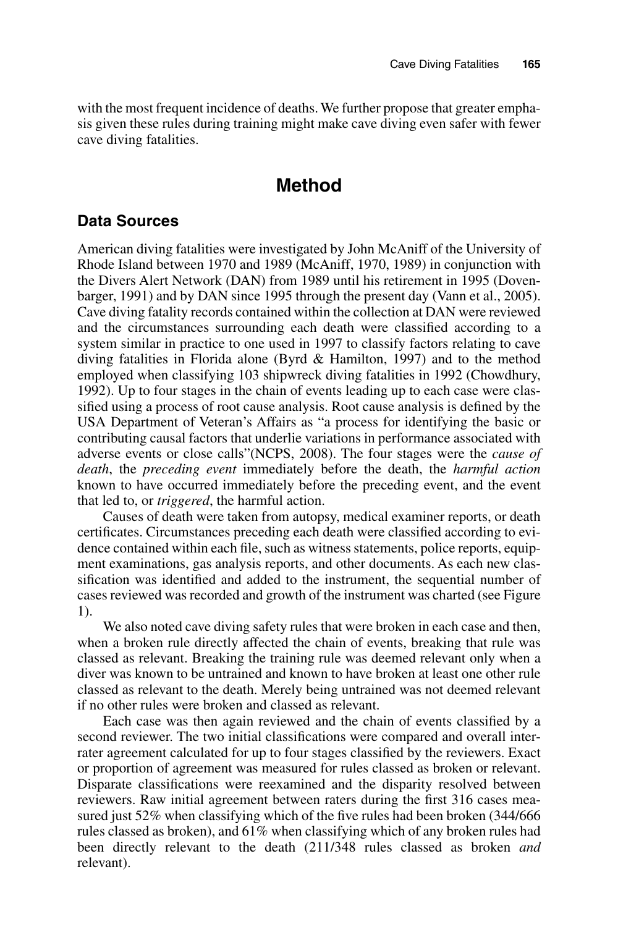with the most frequent incidence of deaths. We further propose that greater emphasis given these rules during training might make cave diving even safer with fewer cave diving fatalities.

## **Method**

### **Data Sources**

American diving fatalities were investigated by John McAniff of the University of Rhode Island between 1970 and 1989 (McAniff, 1970, 1989) in conjunction with the Divers Alert Network (DAN) from 1989 until his retirement in 1995 (Dovenbarger, 1991) and by DAN since 1995 through the present day (Vann et al., 2005). Cave diving fatality records contained within the collection at DAN were reviewed and the circumstances surrounding each death were classified according to a system similar in practice to one used in 1997 to classify factors relating to cave diving fatalities in Florida alone (Byrd & Hamilton, 1997) and to the method employed when classifying 103 shipwreck diving fatalities in 1992 (Chowdhury, 1992). Up to four stages in the chain of events leading up to each case were classified using a process of root cause analysis. Root cause analysis is defined by the USA Department of Veteran's Affairs as "a process for identifying the basic or contributing causal factors that underlie variations in performance associated with adverse events or close calls"(NCPS, 2008). The four stages were the *cause of death*, the *preceding event* immediately before the death, the *harmful action* known to have occurred immediately before the preceding event, and the event that led to, or *triggered*, the harmful action.

Causes of death were taken from autopsy, medical examiner reports, or death certificates. Circumstances preceding each death were classified according to evidence contained within each file, such as witness statements, police reports, equipment examinations, gas analysis reports, and other documents. As each new classification was identified and added to the instrument, the sequential number of cases reviewed was recorded and growth of the instrument was charted (see Figure 1).

We also noted cave diving safety rules that were broken in each case and then, when a broken rule directly affected the chain of events, breaking that rule was classed as relevant. Breaking the training rule was deemed relevant only when a diver was known to be untrained and known to have broken at least one other rule classed as relevant to the death. Merely being untrained was not deemed relevant if no other rules were broken and classed as relevant.

Each case was then again reviewed and the chain of events classified by a second reviewer. The two initial classifications were compared and overall interrater agreement calculated for up to four stages classified by the reviewers. Exact or proportion of agreement was measured for rules classed as broken or relevant. Disparate classifications were reexamined and the disparity resolved between reviewers. Raw initial agreement between raters during the first 316 cases measured just 52% when classifying which of the five rules had been broken (344/666 rules classed as broken), and 61% when classifying which of any broken rules had been directly relevant to the death (211/348 rules classed as broken *and* relevant).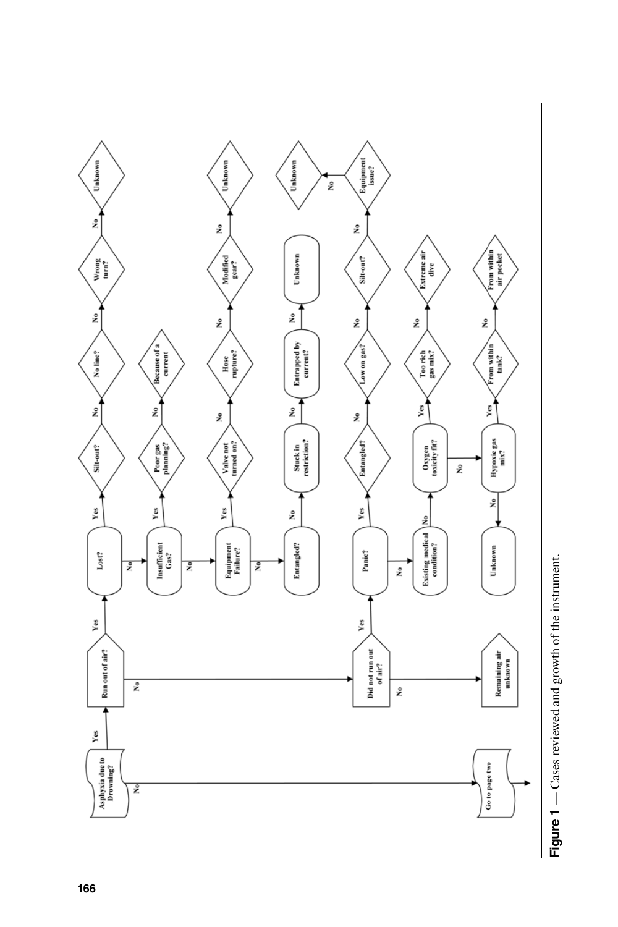

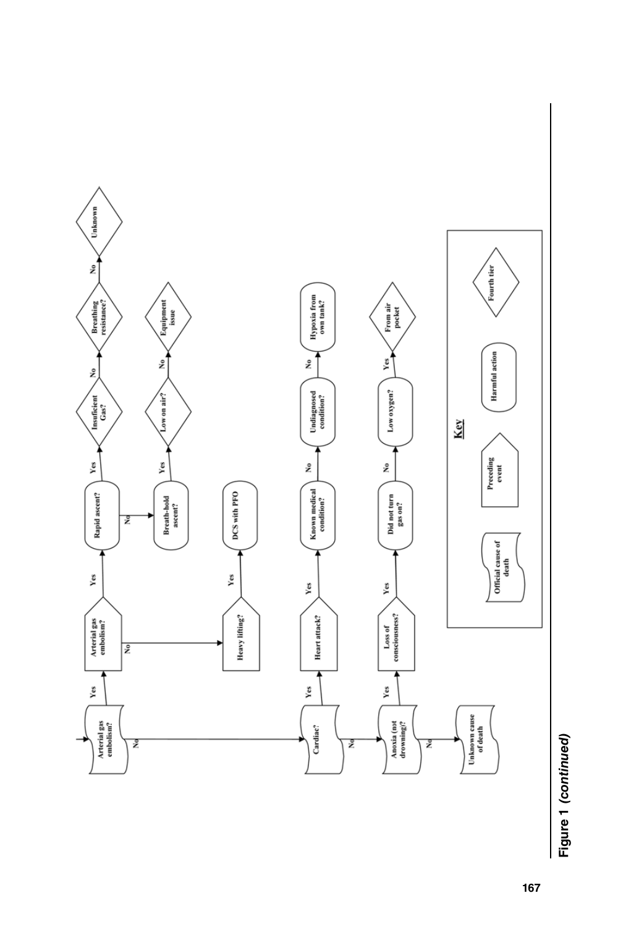

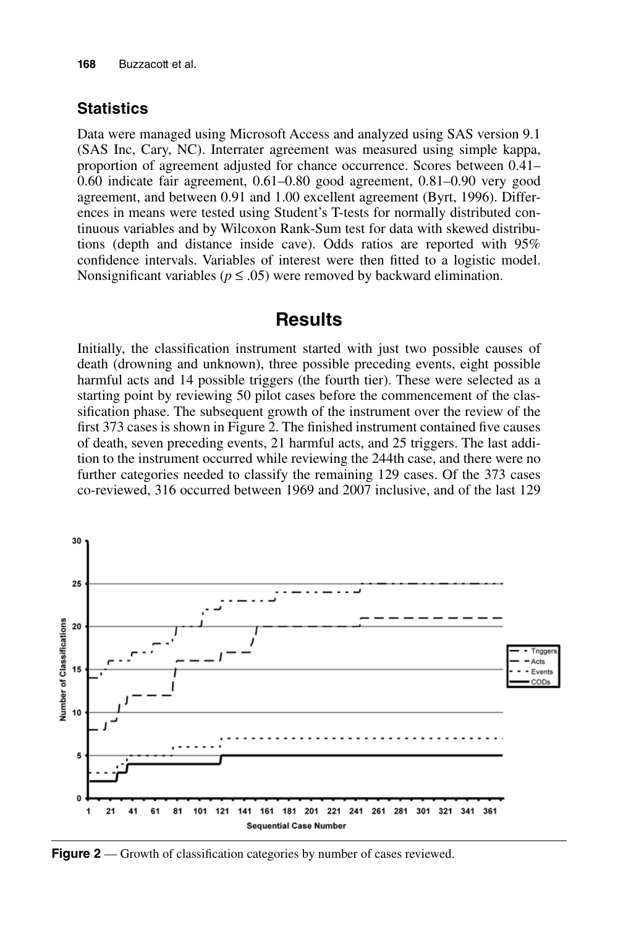#### **Statistics**

Data were managed using Microsoft Access and analyzed using SAS version 9.1 (SAS Inc, Cary, NC). Interrater agreement was measured using simple kappa, proportion of agreement adjusted for chance occurrence. Scores between 0.41– 0.60 indicate fair agreement, 0.61–0.80 good agreement, 0.81–0.90 very good agreement, and between 0.91 and 1.00 excellent agreement (Byrt, 1996). Differences in means were tested using Student's T-tests for normally distributed continuous variables and by Wilcoxon Rank-Sum test for data with skewed distributions (depth and distance inside cave). Odds ratios are reported with 95% confidence intervals. Variables of interest were then fitted to a logistic model. Nonsignificant variables ( $p \leq .05$ ) were removed by backward elimination.

### **Results**

Initially, the classification instrument started with just two possible causes of death (drowning and unknown), three possible preceding events, eight possible harmful acts and 14 possible triggers (the fourth tier). These were selected as a starting point by reviewing 50 pilot cases before the commencement of the classification phase. The subsequent growth of the instrument over the review of the first 373 cases is shown in Figure 2. The finished instrument contained five causes of death, seven preceding events, 21 harmful acts, and 25 triggers. The last addition to the instrument occurred while reviewing the 244th case, and there were no further categories needed to classify the remaining 129 cases. Of the 373 cases co-reviewed, 316 occurred between 1969 and 2007 inclusive, and of the last 129



Figure 2 — Growth of classification categories by number of cases reviewed.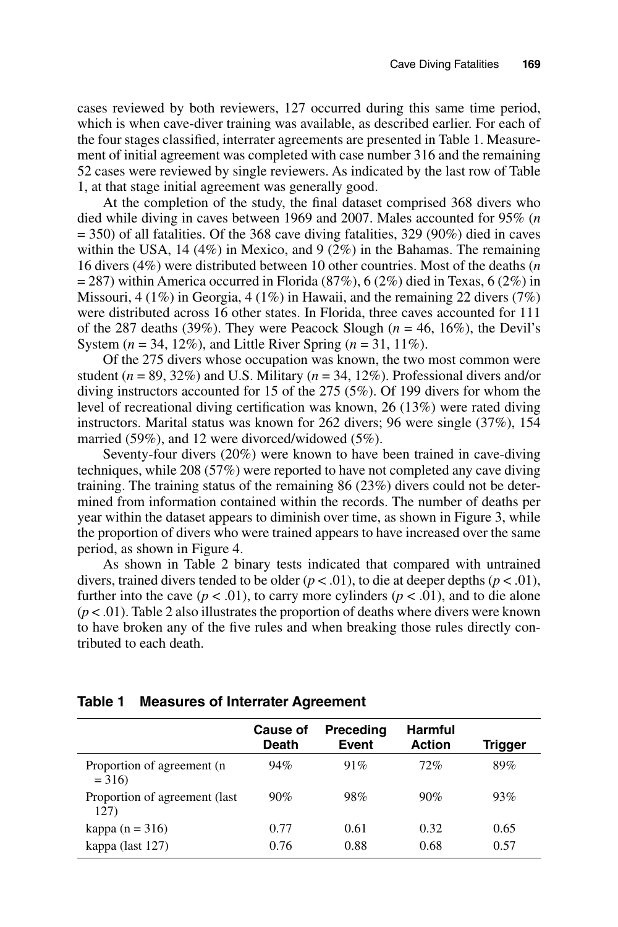cases reviewed by both reviewers, 127 occurred during this same time period, which is when cave-diver training was available, as described earlier. For each of the four stages classified, interrater agreements are presented in Table 1. Measurement of initial agreement was completed with case number 316 and the remaining 52 cases were reviewed by single reviewers. As indicated by the last row of Table 1, at that stage initial agreement was generally good.

At the completion of the study, the final dataset comprised 368 divers who died while diving in caves between 1969 and 2007. Males accounted for 95% (*n*  $=$  350) of all fatalities. Of the 368 cave diving fatalities, 329 (90%) died in caves within the USA, 14 (4%) in Mexico, and 9 (2%) in the Bahamas. The remaining 16 divers (4%) were distributed between 10 other countries. Most of the deaths (*n*  $= 287$ ) within America occurred in Florida (87%), 6 (2%) died in Texas, 6 (2%) in Missouri, 4 (1%) in Georgia, 4 (1%) in Hawaii, and the remaining 22 divers (7%) were distributed across 16 other states. In Florida, three caves accounted for 111 of the 287 deaths (39%). They were Peacock Slough  $(n = 46, 16\%)$ , the Devil's System (*n* = 34, 12%), and Little River Spring (*n* = 31, 11%).

Of the 275 divers whose occupation was known, the two most common were student  $(n = 89, 32\%)$  and U.S. Military  $(n = 34, 12\%)$ . Professional divers and/or diving instructors accounted for 15 of the 275 (5%). Of 199 divers for whom the level of recreational diving certification was known, 26 (13%) were rated diving instructors. Marital status was known for 262 divers; 96 were single (37%), 154 married (59%), and 12 were divorced/widowed (5%).

Seventy-four divers (20%) were known to have been trained in cave-diving techniques, while 208 (57%) were reported to have not completed any cave diving training. The training status of the remaining 86 (23%) divers could not be determined from information contained within the records. The number of deaths per year within the dataset appears to diminish over time, as shown in Figure 3, while the proportion of divers who were trained appears to have increased over the same period, as shown in Figure 4.

As shown in Table 2 binary tests indicated that compared with untrained divers, trained divers tended to be older  $(p < .01)$ , to die at deeper depths  $(p < .01)$ , further into the cave ( $p < .01$ ), to carry more cylinders ( $p < .01$ ), and to die alone  $(p < .01)$ . Table 2 also illustrates the proportion of deaths where divers were known to have broken any of the five rules and when breaking those rules directly contributed to each death.

#### **Table 1 Measures of Interrater Agreement**

|                                        | <b>Cause of</b><br><b>Death</b> | <b>Preceding</b><br>Event | <b>Harmful</b><br><b>Action</b> | <b>Trigger</b> |
|----------------------------------------|---------------------------------|---------------------------|---------------------------------|----------------|
| Proportion of agreement (n<br>$= 316$  | 94%                             | 91%                       | 72%                             | 89%            |
| Proportion of agreement (last)<br>127) | 90%                             | 98%                       | 90%                             | 93%            |
| kappa (n = $316$ )                     | 0.77                            | 0.61                      | 0.32                            | 0.65           |
| kappa (last 127)                       | 0.76                            | 0.88                      | 0.68                            | 0.57           |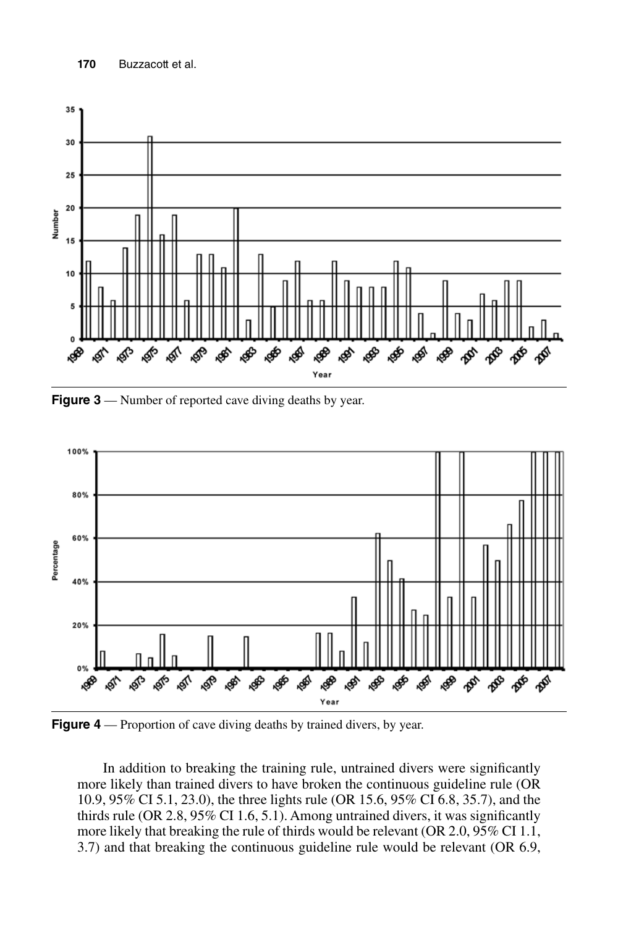

**Figure 3** — Number of reported cave diving deaths by year.



**Figure 4** — Proportion of cave diving deaths by trained divers, by year.

In addition to breaking the training rule, untrained divers were significantly more likely than trained divers to have broken the continuous guideline rule (OR 10.9, 95% CI 5.1, 23.0), the three lights rule (OR 15.6, 95% CI 6.8, 35.7), and the thirds rule (OR 2.8, 95% CI 1.6, 5.1). Among untrained divers, it was significantly more likely that breaking the rule of thirds would be relevant (OR 2.0, 95% CI 1.1, 3.7) and that breaking the continuous guideline rule would be relevant (OR 6.9,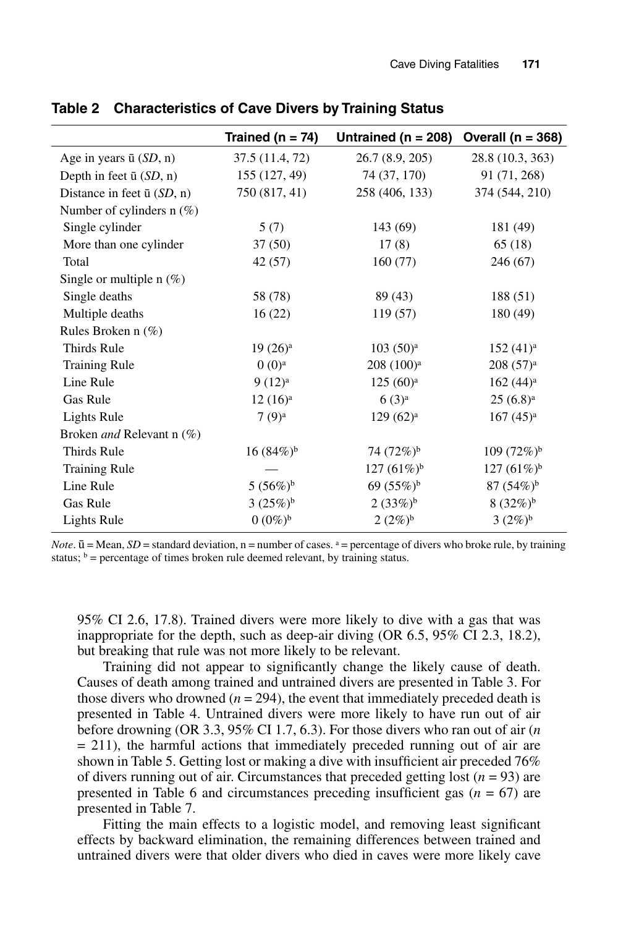|                                    | Trained ( $n = 74$ ) | Untrained ( $n = 208$ ) | Overall ( $n = 368$ )  |
|------------------------------------|----------------------|-------------------------|------------------------|
| Age in years $\bar{u}$ (SD, n)     | 37.5 (11.4, 72)      | 26.7 (8.9, 205)         | 28.8 (10.3, 363)       |
| Depth in feet $\bar{u}$ (SD, n)    | 155 (127, 49)        | 74 (37, 170)            | 91 (71, 268)           |
| Distance in feet $\bar{u}$ (SD, n) | 750 (817, 41)        | 258 (406, 133)          | 374 (544, 210)         |
| Number of cylinders $n$ (%)        |                      |                         |                        |
| Single cylinder                    | 5(7)                 | 143 (69)                | 181 (49)               |
| More than one cylinder             | 37(50)               | 17(8)                   | 65(18)                 |
| Total                              | 42(57)               | 160(77)                 | 246 (67)               |
| Single or multiple $n$ (%)         |                      |                         |                        |
| Single deaths                      | 58 (78)              | 89 (43)                 | 188 (51)               |
| Multiple deaths                    | 16(22)               | 119 (57)                | 180 (49)               |
| Rules Broken n (%)                 |                      |                         |                        |
| Thirds Rule                        | $19(26)^a$           | $103(50)^a$             | $152(41)^a$            |
| <b>Training Rule</b>               | $0(0)^{a}$           | $208(100)^a$            | $208(57)^a$            |
| Line Rule                          | $9(12)^{a}$          | $125(60)^a$             | $162 (44)^a$           |
| Gas Rule                           | $12(16)^a$           | 6(3) <sup>a</sup>       | $25(6.8)^a$            |
| <b>Lights Rule</b>                 | $7(9)^a$             | $129(62)^a$             | $167 (45)^a$           |
| Broken <i>and</i> Relevant n (%)   |                      |                         |                        |
| Thirds Rule                        | $16(84\%)^b$         | 74 $(72\%)^b$           | $109(72\%)^b$          |
| <b>Training Rule</b>               |                      | 127 $(61\%)^b$          | $127 (61\%)^b$         |
| Line Rule                          | 5 $(56\%)^b$         | 69 (55%) <sup>b</sup>   | $87(54%)$ <sup>b</sup> |
| Gas Rule                           | $3(25%)^b$           | $2(33%)^b$              | $8(32\%)^b$            |
| <b>Lights Rule</b>                 | $0 (0\%)^b$          | $2(2\%)^b$              | $3(2\%)^b$             |

**Table 2 Characteristics of Cave Divers by Training Status**

*Note*.  $\bar{u}$  = Mean, *SD* = standard deviation, n = number of cases.  $a$  = percentage of divers who broke rule, by training status;  $\phi$  = percentage of times broken rule deemed relevant, by training status.

95% CI 2.6, 17.8). Trained divers were more likely to dive with a gas that was inappropriate for the depth, such as deep-air diving (OR 6.5, 95% CI 2.3, 18.2), but breaking that rule was not more likely to be relevant.

Training did not appear to significantly change the likely cause of death. Causes of death among trained and untrained divers are presented in Table 3. For those divers who drowned  $(n = 294)$ , the event that immediately preceded death is presented in Table 4. Untrained divers were more likely to have run out of air before drowning (OR 3.3, 95% CI 1.7, 6.3). For those divers who ran out of air (*n*  $= 211$ ), the harmful actions that immediately preceded running out of air are shown in Table 5. Getting lost or making a dive with insufficient air preceded 76% of divers running out of air. Circumstances that preceded getting lost  $(n = 93)$  are presented in Table 6 and circumstances preceding insufficient gas  $(n = 67)$  are presented in Table 7.

Fitting the main effects to a logistic model, and removing least significant effects by backward elimination, the remaining differences between trained and untrained divers were that older divers who died in caves were more likely cave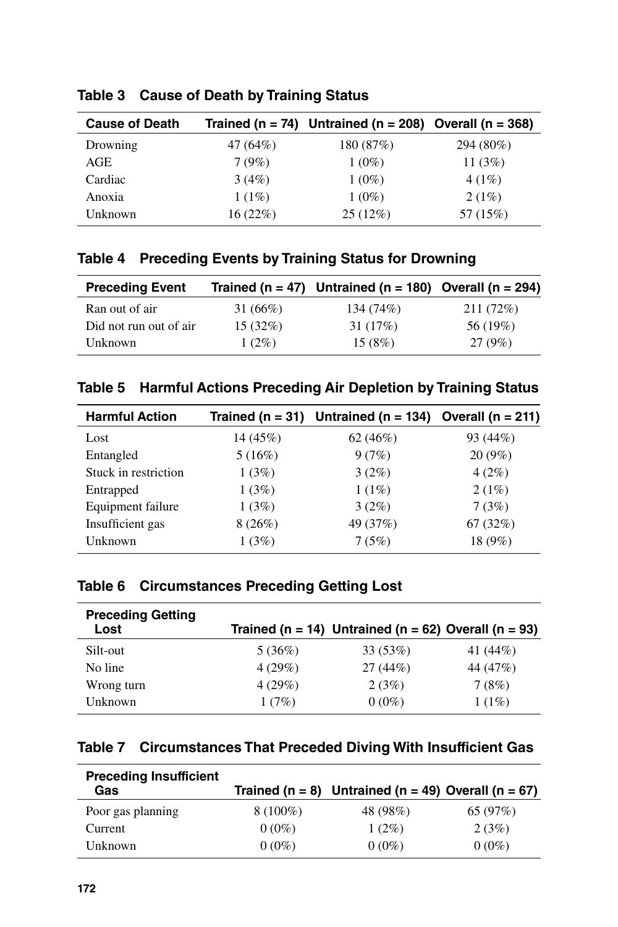| <b>Cause of Death</b> |          | Trained (n = 74) Untrained (n = 208) Overall (n = 368) |           |
|-----------------------|----------|--------------------------------------------------------|-----------|
| Drowning              | 47 (64%) | 180 (87%)                                              | 294 (80%) |
| AGE                   | 7(9%)    | $1(0\%)$                                               | 11 $(3%)$ |
| Cardiac               | 3(4%)    | $1(0\%)$                                               | 4(1%)     |
| Anoxia                | $1(1\%)$ | $1(0\%)$                                               | 2(1%)     |
| Unknown               | 16(22%)  | 25(12%)                                                | 57 (15%)  |

**Table 3 Cause of Death by Training Status**

### **Table 4 Preceding Events by Training Status for Drowning**

| <b>Preceding Event</b> |             | Trained (n = 47) Untrained (n = 180) Overall (n = 294) |           |
|------------------------|-------------|--------------------------------------------------------|-----------|
| Ran out of air         | 31 $(66\%)$ | 134 (74%)                                              | 211 (72%) |
| Did not run out of air | 15(32%)     | 31 (17%)                                               | 56 (19%)  |
| Unknown                | $1(2\%)$    | 15(8%)                                                 | 27(9%)    |

| Table 5 Harmful Actions Preceding Air Depletion by Training Status |  |  |
|--------------------------------------------------------------------|--|--|
|                                                                    |  |  |

| <b>Harmful Action</b> |          | Trained (n = 31) Untrained (n = 134) Overall (n = 211) |           |
|-----------------------|----------|--------------------------------------------------------|-----------|
| Lost                  | 14 (45%) | 62(46%)                                                | 93 (44%)  |
| Entangled             | 5(16%)   | 9(7%)                                                  | $20(9\%)$ |
| Stuck in restriction  | 1(3%)    | $3(2\%)$                                               | $4(2\%)$  |
| Entrapped             | 1(3%)    | $1(1\%)$                                               | 2(1%)     |
| Equipment failure     | 1(3%)    | $3(2\%)$                                               | 7(3%)     |
| Insufficient gas      | 8(26%)   | 49 (37%)                                               | 67(32%)   |
| Unknown               | 1(3%)    | 7(5%)                                                  | 18 (9%)   |

### **Table 6 Circumstances Preceding Getting Lost**

| <b>Preceding Getting</b><br>Lost |        | Trained (n = 14) Untrained (n = 62) Overall (n = 93) |          |
|----------------------------------|--------|------------------------------------------------------|----------|
| Silt-out                         | 5(36%) | 33(53%)                                              | 41 (44%) |
| No line                          | 4(29%) | 27(44%)                                              | 44 (47%) |
| Wrong turn                       | 4(29%) | 2(3%)                                                | 7(8%)    |
| Unknown                          | 1(7%)  | $0(0\%)$                                             | $1(1\%)$ |

### **Table 7 Circumstances That Preceded Diving With Insufficient Gas**

| <b>Preceding Insufficient</b><br>Gas |            | Trained (n = 8) Untrained (n = 49) Overall (n = 67) |          |
|--------------------------------------|------------|-----------------------------------------------------|----------|
| Poor gas planning                    | $8(100\%)$ | 48 (98%)                                            | 65 (97%) |
| Current                              | $0(0\%)$   | $1(2\%)$                                            | 2(3%)    |
| Unknown                              | $0(0\%)$   | $0(0\%)$                                            | $0(0\%)$ |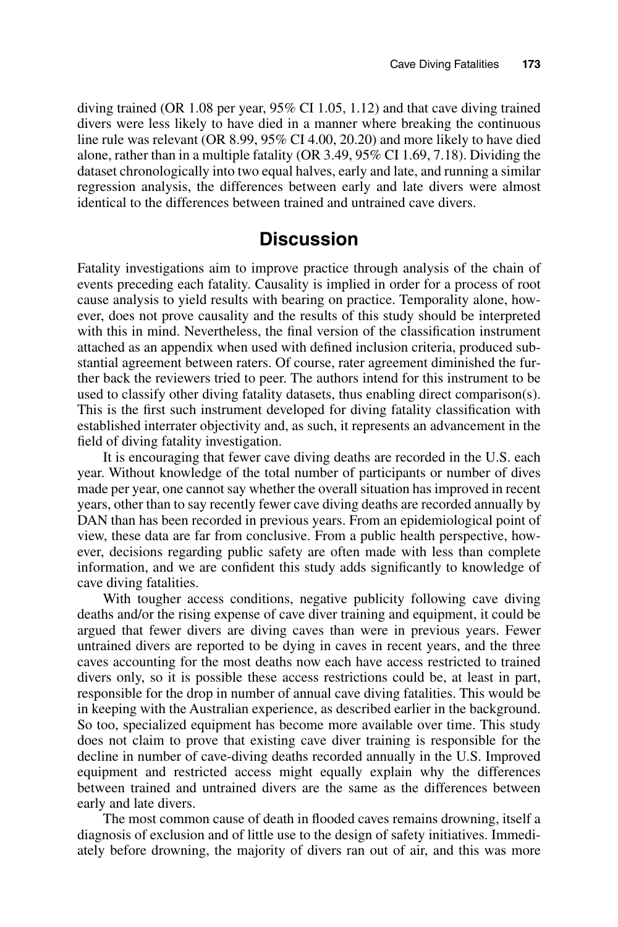diving trained (OR 1.08 per year, 95% CI 1.05, 1.12) and that cave diving trained divers were less likely to have died in a manner where breaking the continuous line rule was relevant (OR 8.99, 95% CI 4.00, 20.20) and more likely to have died alone, rather than in a multiple fatality (OR 3.49, 95% CI 1.69, 7.18). Dividing the dataset chronologically into two equal halves, early and late, and running a similar regression analysis, the differences between early and late divers were almost identical to the differences between trained and untrained cave divers.

### **Discussion**

Fatality investigations aim to improve practice through analysis of the chain of events preceding each fatality. Causality is implied in order for a process of root cause analysis to yield results with bearing on practice. Temporality alone, however, does not prove causality and the results of this study should be interpreted with this in mind. Nevertheless, the final version of the classification instrument attached as an appendix when used with defined inclusion criteria, produced substantial agreement between raters. Of course, rater agreement diminished the further back the reviewers tried to peer. The authors intend for this instrument to be used to classify other diving fatality datasets, thus enabling direct comparison(s). This is the first such instrument developed for diving fatality classification with established interrater objectivity and, as such, it represents an advancement in the field of diving fatality investigation.

It is encouraging that fewer cave diving deaths are recorded in the U.S. each year. Without knowledge of the total number of participants or number of dives made per year, one cannot say whether the overall situation has improved in recent years, other than to say recently fewer cave diving deaths are recorded annually by DAN than has been recorded in previous years. From an epidemiological point of view, these data are far from conclusive. From a public health perspective, however, decisions regarding public safety are often made with less than complete information, and we are confident this study adds significantly to knowledge of cave diving fatalities.

With tougher access conditions, negative publicity following cave diving deaths and/or the rising expense of cave diver training and equipment, it could be argued that fewer divers are diving caves than were in previous years. Fewer untrained divers are reported to be dying in caves in recent years, and the three caves accounting for the most deaths now each have access restricted to trained divers only, so it is possible these access restrictions could be, at least in part, responsible for the drop in number of annual cave diving fatalities. This would be in keeping with the Australian experience, as described earlier in the background. So too, specialized equipment has become more available over time. This study does not claim to prove that existing cave diver training is responsible for the decline in number of cave-diving deaths recorded annually in the U.S. Improved equipment and restricted access might equally explain why the differences between trained and untrained divers are the same as the differences between early and late divers.

The most common cause of death in flooded caves remains drowning, itself a diagnosis of exclusion and of little use to the design of safety initiatives. Immediately before drowning, the majority of divers ran out of air, and this was more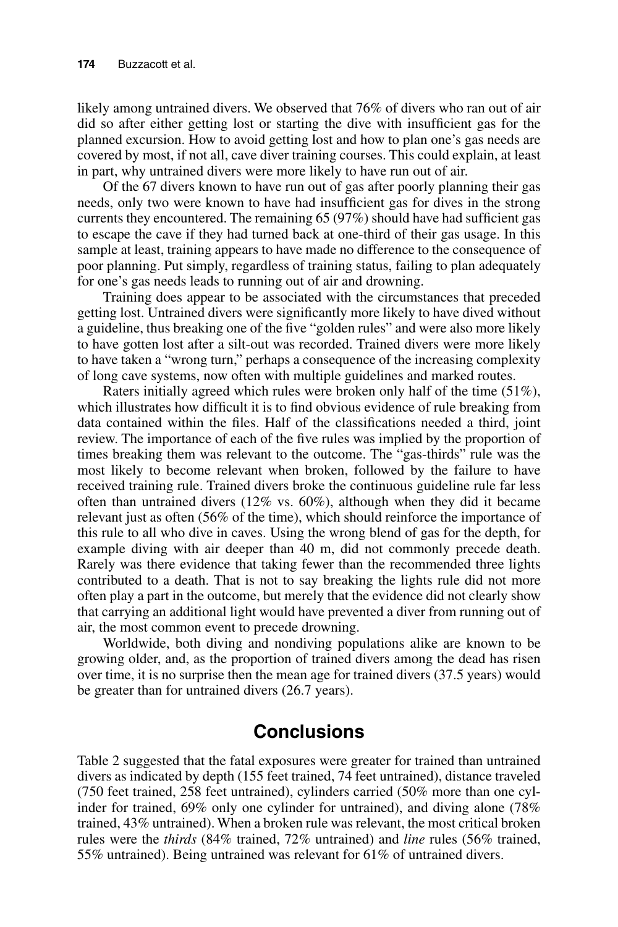likely among untrained divers. We observed that 76% of divers who ran out of air did so after either getting lost or starting the dive with insufficient gas for the planned excursion. How to avoid getting lost and how to plan one's gas needs are covered by most, if not all, cave diver training courses. This could explain, at least in part, why untrained divers were more likely to have run out of air.

Of the 67 divers known to have run out of gas after poorly planning their gas needs, only two were known to have had insufficient gas for dives in the strong currents they encountered. The remaining 65 (97%) should have had sufficient gas to escape the cave if they had turned back at one-third of their gas usage. In this sample at least, training appears to have made no difference to the consequence of poor planning. Put simply, regardless of training status, failing to plan adequately for one's gas needs leads to running out of air and drowning.

Training does appear to be associated with the circumstances that preceded getting lost. Untrained divers were significantly more likely to have dived without a guideline, thus breaking one of the five "golden rules" and were also more likely to have gotten lost after a silt-out was recorded. Trained divers were more likely to have taken a "wrong turn," perhaps a consequence of the increasing complexity of long cave systems, now often with multiple guidelines and marked routes.

Raters initially agreed which rules were broken only half of the time (51%), which illustrates how difficult it is to find obvious evidence of rule breaking from data contained within the files. Half of the classifications needed a third, joint review. The importance of each of the five rules was implied by the proportion of times breaking them was relevant to the outcome. The "gas-thirds" rule was the most likely to become relevant when broken, followed by the failure to have received training rule. Trained divers broke the continuous guideline rule far less often than untrained divers  $(12\% \text{ vs. } 60\%)$ , although when they did it became relevant just as often (56% of the time), which should reinforce the importance of this rule to all who dive in caves. Using the wrong blend of gas for the depth, for example diving with air deeper than 40 m, did not commonly precede death. Rarely was there evidence that taking fewer than the recommended three lights contributed to a death. That is not to say breaking the lights rule did not more often play a part in the outcome, but merely that the evidence did not clearly show that carrying an additional light would have prevented a diver from running out of air, the most common event to precede drowning.

Worldwide, both diving and nondiving populations alike are known to be growing older, and, as the proportion of trained divers among the dead has risen over time, it is no surprise then the mean age for trained divers (37.5 years) would be greater than for untrained divers (26.7 years).

### **Conclusions**

Table 2 suggested that the fatal exposures were greater for trained than untrained divers as indicated by depth (155 feet trained, 74 feet untrained), distance traveled (750 feet trained, 258 feet untrained), cylinders carried (50% more than one cylinder for trained, 69% only one cylinder for untrained), and diving alone (78% trained, 43% untrained). When a broken rule was relevant, the most critical broken rules were the *thirds* (84% trained, 72% untrained) and *line* rules (56% trained, 55% untrained). Being untrained was relevant for 61% of untrained divers.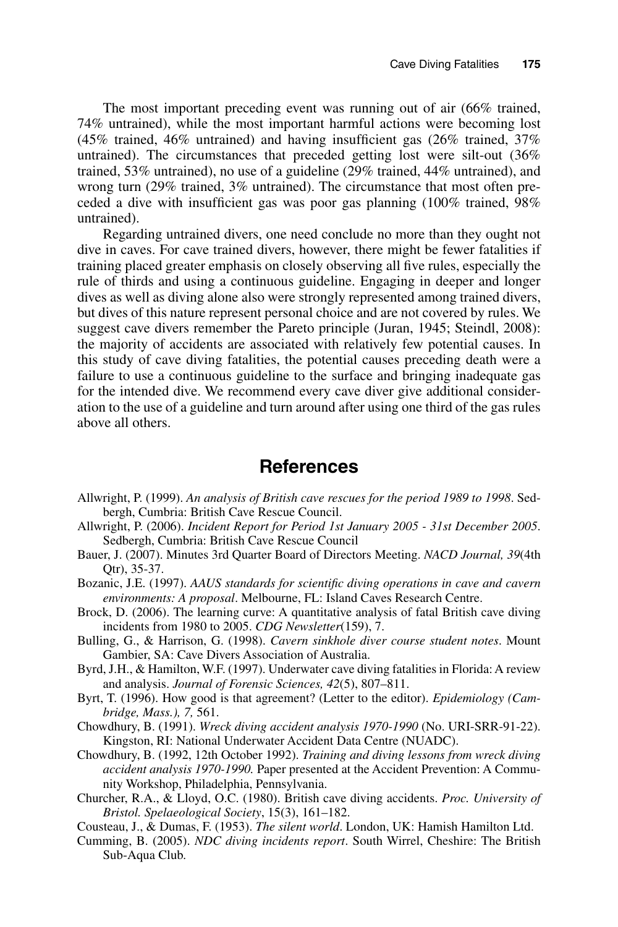The most important preceding event was running out of air (66% trained, 74% untrained), while the most important harmful actions were becoming lost (45% trained, 46% untrained) and having insufficient gas (26% trained, 37% untrained). The circumstances that preceded getting lost were silt-out (36% trained, 53% untrained), no use of a guideline (29% trained, 44% untrained), and wrong turn (29% trained, 3% untrained). The circumstance that most often preceded a dive with insufficient gas was poor gas planning (100% trained, 98% untrained).

Regarding untrained divers, one need conclude no more than they ought not dive in caves. For cave trained divers, however, there might be fewer fatalities if training placed greater emphasis on closely observing all five rules, especially the rule of thirds and using a continuous guideline. Engaging in deeper and longer dives as well as diving alone also were strongly represented among trained divers, but dives of this nature represent personal choice and are not covered by rules. We suggest cave divers remember the Pareto principle (Juran, 1945; Steindl, 2008): the majority of accidents are associated with relatively few potential causes. In this study of cave diving fatalities, the potential causes preceding death were a failure to use a continuous guideline to the surface and bringing inadequate gas for the intended dive. We recommend every cave diver give additional consideration to the use of a guideline and turn around after using one third of the gas rules above all others.

### **References**

- Allwright, P. (1999). *An analysis of British cave rescues for the period 1989 to 1998*. Sedbergh, Cumbria: British Cave Rescue Council.
- Allwright, P. (2006). *Incident Report for Period 1st January 2005 31st December 2005*. Sedbergh, Cumbria: British Cave Rescue Council
- Bauer, J. (2007). Minutes 3rd Quarter Board of Directors Meeting. *NACD Journal, 39*(4th Qtr), 35-37.
- Bozanic, J.E. (1997). *AAUS standards for scientific diving operations in cave and cavern environments: A proposal*. Melbourne, FL: Island Caves Research Centre.
- Brock, D. (2006). The learning curve: A quantitative analysis of fatal British cave diving incidents from 1980 to 2005. *CDG Newsletter*(159), 7.
- Bulling, G., & Harrison, G. (1998). *Cavern sinkhole diver course student notes*. Mount Gambier, SA: Cave Divers Association of Australia.
- Byrd, J.H., & Hamilton, W.F. (1997). Underwater cave diving fatalities in Florida: A review and analysis. *Journal of Forensic Sciences, 42*(5), 807–811.
- Byrt, T. (1996). How good is that agreement? (Letter to the editor). *Epidemiology (Cambridge, Mass.), 7,* 561.
- Chowdhury, B. (1991). *Wreck diving accident analysis 1970-1990* (No. URI-SRR-91-22). Kingston, RI: National Underwater Accident Data Centre (NUADC).
- Chowdhury, B. (1992, 12th October 1992). *Training and diving lessons from wreck diving accident analysis 1970-1990.* Paper presented at the Accident Prevention: A Community Workshop, Philadelphia, Pennsylvania.
- Churcher, R.A., & Lloyd, O.C. (1980). British cave diving accidents. *Proc. University of Bristol. Spelaeological Society*, 15(3), 161–182.
- Cousteau, J., & Dumas, F. (1953). *The silent world*. London, UK: Hamish Hamilton Ltd.
- Cumming, B. (2005). *NDC diving incidents report*. South Wirrel, Cheshire: The British Sub-Aqua Club.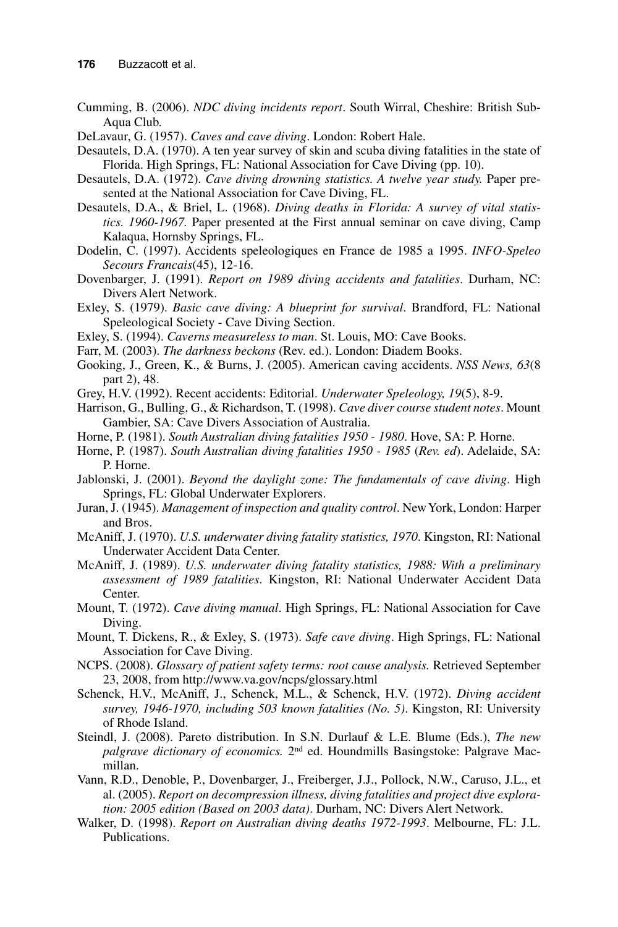- Cumming, B. (2006). *NDC diving incidents report*. South Wirral, Cheshire: British Sub-Aqua Club.
- DeLavaur, G. (1957). *Caves and cave diving*. London: Robert Hale.
- Desautels, D.A. (1970). A ten year survey of skin and scuba diving fatalities in the state of Florida. High Springs, FL: National Association for Cave Diving (pp. 10).
- Desautels, D.A. (1972). *Cave diving drowning statistics. A twelve year study.* Paper presented at the National Association for Cave Diving, FL.
- Desautels, D.A., & Briel, L. (1968). *Diving deaths in Florida: A survey of vital statistics. 1960-1967.* Paper presented at the First annual seminar on cave diving, Camp Kalaqua, Hornsby Springs, FL.
- Dodelin, C. (1997). Accidents speleologiques en France de 1985 a 1995. *INFO-Speleo Secours Francais*(45), 12-16.
- Dovenbarger, J. (1991). *Report on 1989 diving accidents and fatalities*. Durham, NC: Divers Alert Network.
- Exley, S. (1979). *Basic cave diving: A blueprint for survival*. Brandford, FL: National Speleological Society - Cave Diving Section.
- Exley, S. (1994). *Caverns measureless to man*. St. Louis, MO: Cave Books.
- Farr, M. (2003). *The darkness beckons* (Rev. ed.). London: Diadem Books.
- Gooking, J., Green, K., & Burns, J. (2005). American caving accidents. *NSS News, 63*(8 part 2), 48.
- Grey, H.V. (1992). Recent accidents: Editorial. *Underwater Speleology, 19*(5), 8-9.
- Harrison, G., Bulling, G., & Richardson, T. (1998). *Cave diver course student notes*. Mount Gambier, SA: Cave Divers Association of Australia.
- Horne, P. (1981). *South Australian diving fatalities 1950 1980*. Hove, SA: P. Horne.
- Horne, P. (1987). *South Australian diving fatalities 1950 1985* (*Rev. ed*). Adelaide, SA: P. Horne.
- Jablonski, J. (2001). *Beyond the daylight zone: The fundamentals of cave diving*. High Springs, FL: Global Underwater Explorers.
- Juran, J. (1945). *Management of inspection and quality control*. New York, London: Harper and Bros.
- McAniff, J. (1970). *U.S. underwater diving fatality statistics, 1970*. Kingston, RI: National Underwater Accident Data Center.
- McAniff, J. (1989). *U.S. underwater diving fatality statistics, 1988: With a preliminary assessment of 1989 fatalities*. Kingston, RI: National Underwater Accident Data Center.
- Mount, T. (1972). *Cave diving manual*. High Springs, FL: National Association for Cave Diving.
- Mount, T. Dickens, R., & Exley, S. (1973). *Safe cave diving*. High Springs, FL: National Association for Cave Diving.
- NCPS. (2008). *Glossary of patient safety terms: root cause analysis.* Retrieved September 23, 2008, from http://www.va.gov/ncps/glossary.html
- Schenck, H.V., McAniff, J., Schenck, M.L., & Schenck, H.V. (1972). *Diving accident survey, 1946-1970, including 503 known fatalities (No. 5)*. Kingston, RI: University of Rhode Island.
- Steindl, J. (2008). Pareto distribution. In S.N. Durlauf & L.E. Blume (Eds.), *The new palgrave dictionary of economics.* 2nd ed. Houndmills Basingstoke: Palgrave Macmillan.
- Vann, R.D., Denoble, P., Dovenbarger, J., Freiberger, J.J., Pollock, N.W., Caruso, J.L., et al. (2005). *Report on decompression illness, diving fatalities and project dive exploration: 2005 edition (Based on 2003 data)*. Durham, NC: Divers Alert Network.
- Walker, D. (1998). *Report on Australian diving deaths 1972-1993*. Melbourne, FL: J.L. Publications.